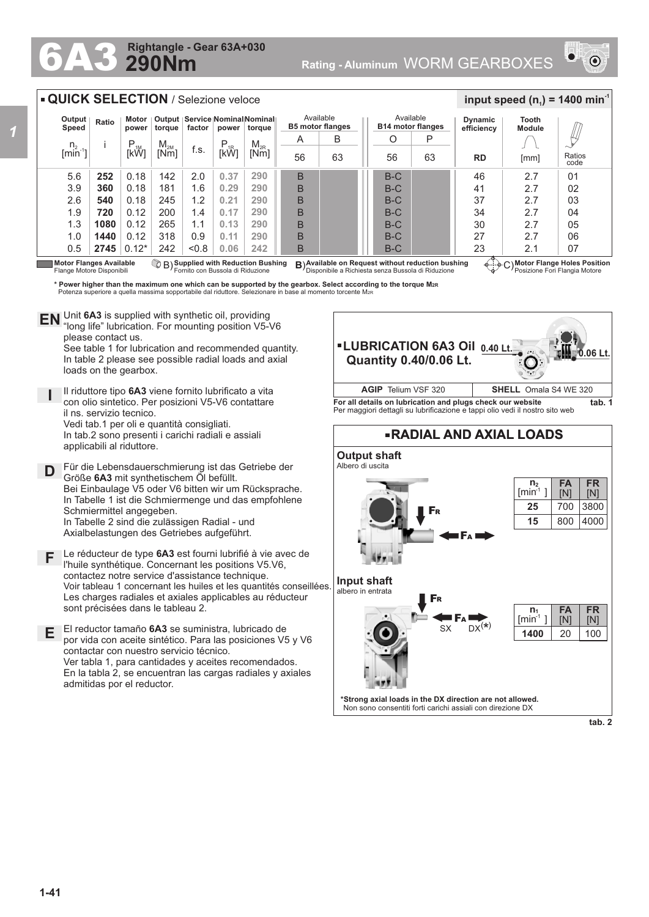## **290Nm Rightangle - Gear 63A+030**



## **QUICK SELECTION** / Selezione veloce

| Output<br>Speed                  | Ratio            | Output   Service   Nominal Nominal   <br>Motor<br>factor<br>power<br>torque<br>power<br>torque |          |       |          | Available<br><b>B5 motor flanges</b> |    | Available<br><b>B14 motor flanges</b> |       | <b>Dynamic</b><br>efficiency | <b>Tooth</b><br><b>Module</b> |                    |    |
|----------------------------------|------------------|------------------------------------------------------------------------------------------------|----------|-------|----------|--------------------------------------|----|---------------------------------------|-------|------------------------------|-------------------------------|--------------------|----|
|                                  |                  | $P_{1M}$                                                                                       | $M_{2M}$ |       |          | $M_{2R}$                             | A  | B                                     | O     | P                            |                               |                    |    |
| $\frac{n_2}{\text{min} \cdot 1}$ |                  | [kW]                                                                                           | [Nm]     | f.s.  | $P_{1R}$ | [Nm]                                 | 56 | 63                                    | 56    | 63                           | <b>RD</b><br>[mm]             | Ratios<br>code     |    |
| 5.6                              | 252              | 0.18                                                                                           | 142      | 2.0   | 0.37     | 290                                  | B  |                                       | $B-C$ |                              | 46                            | 2.7                | 01 |
| 3.9                              | 360              | 0.18                                                                                           | 181      | 1.6   | 0.29     | 290                                  | B  |                                       | B-C   |                              | 41                            | 2.7                | 02 |
| 2.6                              | 540              | 0.18                                                                                           | 245      | 1.2   | 0.21     | 290                                  | B  |                                       | $B-C$ |                              | 37                            | 2.7                | 03 |
| 1.9                              | 720              | 0.12                                                                                           | 200      | 1.4   | 0.17     | 290                                  | B  |                                       | $B-C$ |                              | 34                            | 2.7                | 04 |
| 1.3                              | 1080             | 0.12                                                                                           | 265      | 1.1   | 0.13     | 290                                  | B  |                                       | $B-C$ |                              | 30                            | 2.7                | 05 |
| 1.0                              | 1440             | 0.12                                                                                           | 318      | 0.9   | 0.11     | 290                                  | B  |                                       | $B-C$ |                              | 27                            | 2.7                | 06 |
| 0.5<br>- - - -                   | 2745<br>$\cdots$ | $0.12*$                                                                                        | 242      | < 0.8 | 0.06     | 242<br>$\sim$                        | B  |                                       | $B-C$ |                              | 23                            | 2.1<br>$-1$ . $-1$ | 07 |

Flange Motore Disponibili

Motor Flanges Available (مشبَعة B)Supplied with Reduction Bushing B)Available on Request without reduction bushing (مشبَعة C)<br>Flange Motore Disponibili Flange Motore Disponibile a Richiesta senza Bussola di Riduzione (مُ

**Motor Flange Holes Position** Posizione Fori Flangia Motore

 $\frac{1}{2}$  **input speed (n**<sub>1</sub>) = 1400 min<sup>-1</sup>

**\* Power higher than the maximum one which can be supported by the gearbox. Select according to the torque M2R** Potenza superiore a quella massima sopportabile dal riduttore. Selezionare in base al momento torcente M<sub>2</sub>

Unit **6A3** is supplied with synthetic oil, providing **EN** Unit 6A3 is supplied with synthetic oil, providing<br>"long life" lubrication. For mounting position V5-V6 please contact us. See table 1 for lubrication and recommended quantity.

In table 2 please see possible radial loads and axial loads on the gearbox.

**I** Il riduttore tipo **6A3** viene fornito lubrificato a vita con olio sintetico. Per posizioni V5-V6 contattare il ns. servizio tecnico. Vedi tab.1 per oli e quantità consigliati. In tab.2 sono presenti i carichi radiali e assiali applicabili al riduttore.

**D** Für die Lebensdauerschmierung ist das Getriebe der<br>
Größe 643 mit synthetischem Öl befüllt Größe **6A3** mit synthetischem Öl befüllt. Bei Einbaulage V5 oder V6 bitten wir um Rücksprache. In Tabelle 1 ist die Schmiermenge und das empfohlene Schmiermittel angegeben. In Tabelle 2 sind die zulässigen Radial - und Axialbelastungen des Getriebes aufgeführt.

**F** Le réducteur de type **6A3** est fourni lubrifié à vie avec de l'huile synthétique. Concernant les positions V5.V6, contactez notre service d'assistance technique. Voir tableau 1 concernant les huiles et les quantités conseillées. Les charges radiales et axiales applicables au réducteur sont précisées dans le tableau 2.

**E** El reductor tamaño **6A3** se suministra, lubricado de por vida con aceite sintético. Para las posiciones V5 y V6 contactar con nuestro servicio técnico. Ver tabla 1, para cantidades y aceites recomendados. En la tabla 2, se encuentran las cargas radiales y axiales admitidas por el reductor.







**tab. 2**

**FR** [N]

**FA** [N]

**n 2**  $[min^1]$